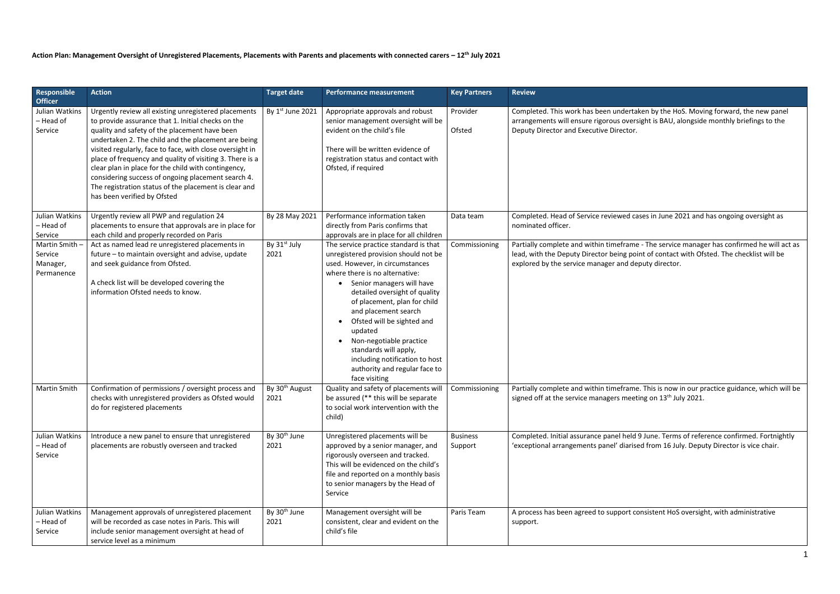## **Action Plan: Management Oversight of Unregistered Placements, Placements with Parents and placements with connected carers – 12th July 2021**

| Responsible<br><b>Officer</b>                      | <b>Action</b>                                                                                                                                                                                                                                                                                                                                                                                                                                                                                                                                   | <b>Target date</b>                 | <b>Performance measurement</b>                                                                                                                                                                                                                                                                                                                                                                                                                                         | <b>Key Partners</b>        | <b>Review</b>                                                                                                               |
|----------------------------------------------------|-------------------------------------------------------------------------------------------------------------------------------------------------------------------------------------------------------------------------------------------------------------------------------------------------------------------------------------------------------------------------------------------------------------------------------------------------------------------------------------------------------------------------------------------------|------------------------------------|------------------------------------------------------------------------------------------------------------------------------------------------------------------------------------------------------------------------------------------------------------------------------------------------------------------------------------------------------------------------------------------------------------------------------------------------------------------------|----------------------------|-----------------------------------------------------------------------------------------------------------------------------|
| Julian Watkins<br>- Head of<br>Service             | Urgently review all existing unregistered placements<br>to provide assurance that 1. Initial checks on the<br>quality and safety of the placement have been<br>undertaken 2. The child and the placement are being<br>visited regularly, face to face, with close oversight in<br>place of frequency and quality of visiting 3. There is a<br>clear plan in place for the child with contingency,<br>considering success of ongoing placement search 4.<br>The registration status of the placement is clear and<br>has been verified by Ofsted | By 1st June 2021                   | Appropriate approvals and robust<br>senior management oversight will be<br>evident on the child's file<br>There will be written evidence of<br>registration status and contact with<br>Ofsted, if required                                                                                                                                                                                                                                                             | Provider<br>Ofsted         | Completed. This work has been underta<br>arrangements will ensure rigorous over:<br>Deputy Director and Executive Director. |
| Julian Watkins<br>- Head of<br>Service             | Urgently review all PWP and regulation 24<br>placements to ensure that approvals are in place for<br>each child and properly recorded on Paris                                                                                                                                                                                                                                                                                                                                                                                                  | By 28 May 2021                     | Performance information taken<br>directly from Paris confirms that<br>approvals are in place for all children                                                                                                                                                                                                                                                                                                                                                          | Data team                  | Completed. Head of Service reviewed ca<br>nominated officer.                                                                |
| Martin Smith-<br>Service<br>Manager,<br>Permanence | Act as named lead re unregistered placements in<br>future - to maintain oversight and advise, update<br>and seek guidance from Ofsted.<br>A check list will be developed covering the<br>information Ofsted needs to know.                                                                                                                                                                                                                                                                                                                      | By 31 <sup>st</sup> July<br>2021   | The service practice standard is that<br>unregistered provision should not be<br>used. However, in circumstances<br>where there is no alternative:<br>Senior managers will have<br>$\bullet$<br>detailed oversight of quality<br>of placement, plan for child<br>and placement search<br>Ofsted will be sighted and<br>updated<br>Non-negotiable practice<br>standards will apply,<br>including notification to host<br>authority and regular face to<br>face visiting | Commissioning              | Partially complete and within timefram<br>lead, with the Deputy Director being po<br>explored by the service manager and de |
| <b>Martin Smith</b>                                | Confirmation of permissions / oversight process and<br>checks with unregistered providers as Ofsted would<br>do for registered placements                                                                                                                                                                                                                                                                                                                                                                                                       | By 30 <sup>th</sup> August<br>2021 | Quality and safety of placements will<br>be assured (** this will be separate<br>to social work intervention with the<br>child)                                                                                                                                                                                                                                                                                                                                        | Commissioning              | Partially complete and within timefram<br>signed off at the service managers meet                                           |
| Julian Watkins<br>- Head of<br>Service             | Introduce a new panel to ensure that unregistered<br>placements are robustly overseen and tracked                                                                                                                                                                                                                                                                                                                                                                                                                                               | By 30 <sup>th</sup> June<br>2021   | Unregistered placements will be<br>approved by a senior manager, and<br>rigorously overseen and tracked.<br>This will be evidenced on the child's<br>file and reported on a monthly basis<br>to senior managers by the Head of<br>Service                                                                                                                                                                                                                              | <b>Business</b><br>Support | Completed. Initial assurance panel held<br>'exceptional arrangements panel' diaris                                          |
| Julian Watkins<br>- Head of<br>Service             | Management approvals of unregistered placement<br>will be recorded as case notes in Paris. This will<br>include senior management oversight at head of<br>service level as a minimum                                                                                                                                                                                                                                                                                                                                                            | By 30 <sup>th</sup> June<br>2021   | Management oversight will be<br>consistent, clear and evident on the<br>child's file                                                                                                                                                                                                                                                                                                                                                                                   | Paris Team                 | A process has been agreed to support co<br>support.                                                                         |

taken by the HoS. Moving forward, the new panel ersight is BAU, alongside monthly briefings to the

cases in June 2021 and has ongoing oversight as

me - The service manager has confirmed he will act as lead of contact with Ofsted. The checklist will be deputy director.

me. This is now in our practice guidance, which will be seting on  $13<sup>th</sup>$  July 2021.

Id 9 June. Terms of reference confirmed. Fortnightly ised from 16 July. Deputy Director is vice chair.

consistent HoS oversight, with administrative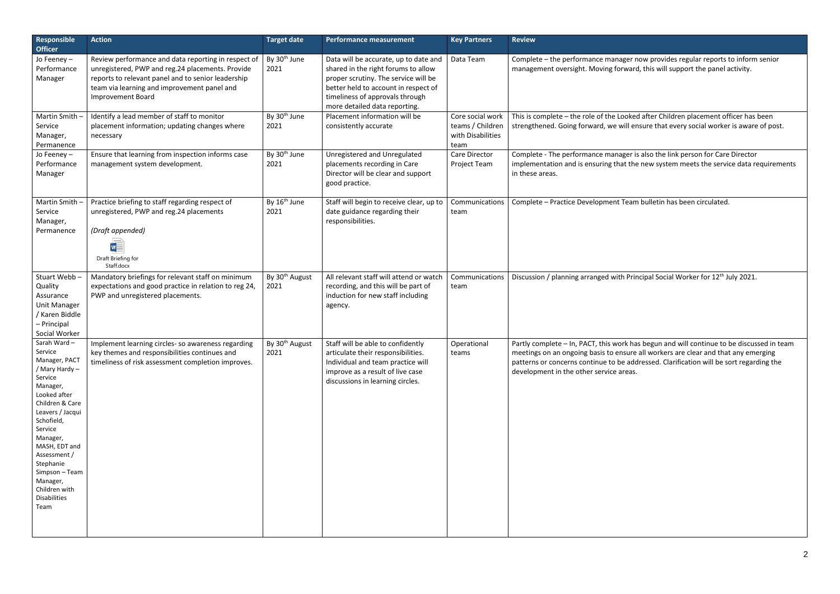| <b>Responsible</b><br><b>Officer</b>                                                                                                                                                                                                                                                                     | <b>Action</b>                                                                                                                                                                                                                            | <b>Target date</b>                 | <b>Performance measurement</b>                                                                                                                                                                                                   | <b>Key Partners</b>                                               | <b>Review</b>                                                                                                                                                                                                                                                                                 |
|----------------------------------------------------------------------------------------------------------------------------------------------------------------------------------------------------------------------------------------------------------------------------------------------------------|------------------------------------------------------------------------------------------------------------------------------------------------------------------------------------------------------------------------------------------|------------------------------------|----------------------------------------------------------------------------------------------------------------------------------------------------------------------------------------------------------------------------------|-------------------------------------------------------------------|-----------------------------------------------------------------------------------------------------------------------------------------------------------------------------------------------------------------------------------------------------------------------------------------------|
| Jo Feeney-<br>Performance<br>Manager                                                                                                                                                                                                                                                                     | Review performance and data reporting in respect of<br>unregistered, PWP and reg.24 placements. Provide<br>reports to relevant panel and to senior leadership<br>team via learning and improvement panel and<br><b>Improvement Board</b> | By 30 <sup>th</sup> June<br>2021   | Data will be accurate, up to date and<br>shared in the right forums to allow<br>proper scrutiny. The service will be<br>better held to account in respect of<br>timeliness of approvals through<br>more detailed data reporting. | Data Team                                                         | Complete - the performance manager now provides regular reports to inform<br>management oversight. Moving forward, this will support the panel activity.                                                                                                                                      |
| Martin Smith -<br>Service<br>Manager,<br>Permanence                                                                                                                                                                                                                                                      | Identify a lead member of staff to monitor<br>placement information; updating changes where<br>necessary                                                                                                                                 | By 30 <sup>th</sup> June<br>2021   | Placement information will be<br>consistently accurate                                                                                                                                                                           | Core social work<br>teams / Children<br>with Disabilities<br>team | This is complete - the role of the Looked after Children placement officer has<br>strengthened. Going forward, we will ensure that every social worker is aware                                                                                                                               |
| Jo Feeney-<br>Performance<br>Manager                                                                                                                                                                                                                                                                     | Ensure that learning from inspection informs case<br>management system development.                                                                                                                                                      | By 30 <sup>th</sup> June<br>2021   | Unregistered and Unregulated<br>placements recording in Care<br>Director will be clear and support<br>good practice.                                                                                                             | Care Director<br>Project Team                                     | Complete - The performance manager is also the link person for Care Director<br>implementation and is ensuring that the new system meets the service data r<br>in these areas.                                                                                                                |
| Martin Smith -<br>Service<br>Manager,<br>Permanence                                                                                                                                                                                                                                                      | Practice briefing to staff regarding respect of<br>unregistered, PWP and reg.24 placements<br>(Draft appended)<br>$w =$<br>Draft Briefing for<br>Staff.docx                                                                              | By 16 <sup>th</sup> June<br>2021   | Staff will begin to receive clear, up to<br>date guidance regarding their<br>responsibilities.                                                                                                                                   | Communications<br>team                                            | Complete - Practice Development Team bulletin has been circulated.                                                                                                                                                                                                                            |
| Stuart Webb-<br>Quality<br>Assurance<br><b>Unit Manager</b><br>/ Karen Biddle<br>- Principal<br>Social Worker                                                                                                                                                                                            | Mandatory briefings for relevant staff on minimum<br>expectations and good practice in relation to reg 24,<br>PWP and unregistered placements.                                                                                           | By 30 <sup>th</sup> August<br>2021 | All relevant staff will attend or watch<br>recording, and this will be part of<br>induction for new staff including<br>agency.                                                                                                   | Communications<br>team                                            | Discussion / planning arranged with Principal Social Worker for 12 <sup>th</sup> July 2021.                                                                                                                                                                                                   |
| Sarah Ward-<br>Service<br>Manager, PACT<br>/ Mary Hardy -<br>Service<br>Manager,<br>Looked after<br>Children & Care<br>Leavers / Jacqui<br>Schofield,<br>Service<br>Manager,<br>MASH, EDT and<br>Assessment /<br>Stephanie<br>Simpson - Team<br>Manager,<br>Children with<br><b>Disabilities</b><br>Team | Implement learning circles- so awareness regarding<br>key themes and responsibilities continues and<br>timeliness of risk assessment completion improves.                                                                                | By 30 <sup>th</sup> August<br>2021 | Staff will be able to confidently<br>articulate their responsibilities.<br>Individual and team practice will<br>improve as a result of live case<br>discussions in learning circles.                                             | Operational<br>teams                                              | Partly complete - In, PACT, this work has begun and will continue to be discus<br>meetings on an ongoing basis to ensure all workers are clear and that any em-<br>patterns or concerns continue to be addressed. Clarification will be sort regar<br>development in the other service areas. |

r now provides regular reports to inform senior ard, this will support the panel activity.

ted after Children placement officer has been ensure that every social worker is aware of post.

r is also the link person for Care Director he new system meets the service data requirements

has begun and will continue to be discussed in team re all workers are clear and that any emerging ddressed. Clarification will be sort regarding the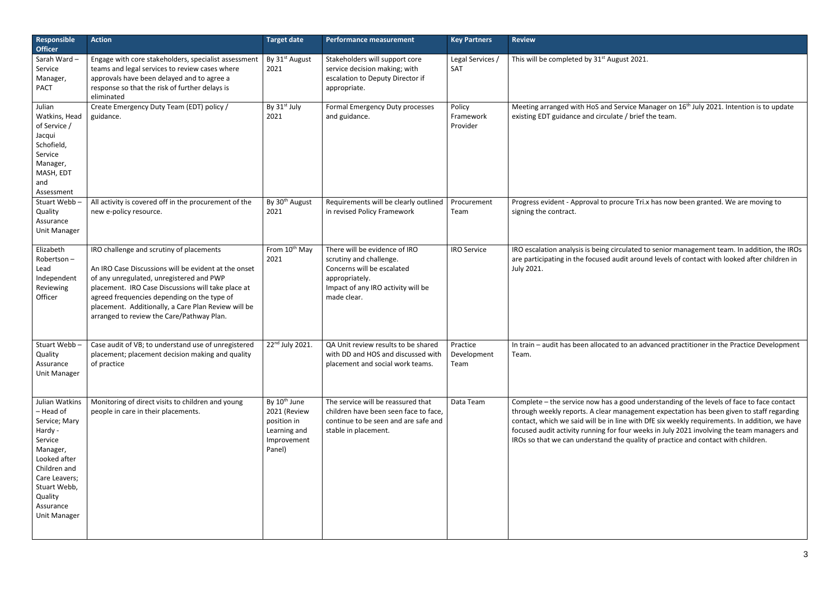| Responsible<br><b>Officer</b>                                                                                                                                                           | <b>Action</b>                                                                                                                                                                                                                                                                                                                                         | <b>Target date</b>                                                                               | <b>Performance measurement</b>                                                                                                                                | <b>Key Partners</b>             | <b>Review</b>                                                                                                                                                                                                  |
|-----------------------------------------------------------------------------------------------------------------------------------------------------------------------------------------|-------------------------------------------------------------------------------------------------------------------------------------------------------------------------------------------------------------------------------------------------------------------------------------------------------------------------------------------------------|--------------------------------------------------------------------------------------------------|---------------------------------------------------------------------------------------------------------------------------------------------------------------|---------------------------------|----------------------------------------------------------------------------------------------------------------------------------------------------------------------------------------------------------------|
| Sarah Ward-<br>Service<br>Manager,<br><b>PACT</b>                                                                                                                                       | Engage with core stakeholders, specialist assessment<br>teams and legal services to review cases where<br>approvals have been delayed and to agree a<br>response so that the risk of further delays is<br>eliminated                                                                                                                                  | By 31 <sup>st</sup> August<br>2021                                                               | Stakeholders will support core<br>service decision making; with<br>escalation to Deputy Director if<br>appropriate.                                           | Legal Services /<br>SAT         | This will be completed by 31 <sup>st</sup> August 2                                                                                                                                                            |
| Julian<br>Watkins, Head<br>of Service /<br>Jacqui<br>Schofield,<br>Service<br>Manager,<br>MASH, EDT<br>and<br>Assessment                                                                | Create Emergency Duty Team (EDT) policy /<br>guidance.                                                                                                                                                                                                                                                                                                | By 31 <sup>st</sup> July<br>2021                                                                 | Formal Emergency Duty processes<br>and guidance.                                                                                                              | Policy<br>Framework<br>Provider | Meeting arranged with HoS and Servic<br>existing EDT guidance and circulate / b                                                                                                                                |
| Stuart Webb-<br>Quality<br>Assurance<br>Unit Manager                                                                                                                                    | All activity is covered off in the procurement of the<br>new e-policy resource.                                                                                                                                                                                                                                                                       | By 30 <sup>th</sup> August<br>2021                                                               | Requirements will be clearly outlined<br>in revised Policy Framework                                                                                          | Procurement<br>Team             | Progress evident - Approval to procure<br>signing the contract.                                                                                                                                                |
| Elizabeth<br>Robertson-<br>Lead<br>Independent<br>Reviewing<br>Officer                                                                                                                  | IRO challenge and scrutiny of placements<br>An IRO Case Discussions will be evident at the onset<br>of any unregulated, unregistered and PWP<br>placement. IRO Case Discussions will take place at<br>agreed frequencies depending on the type of<br>placement. Additionally, a Care Plan Review will be<br>arranged to review the Care/Pathway Plan. | From 10 <sup>th</sup> May<br>2021                                                                | There will be evidence of IRO<br>scrutiny and challenge.<br>Concerns will be escalated<br>appropriately.<br>Impact of any IRO activity will be<br>made clear. | <b>IRO Service</b>              | IRO escalation analysis is being circulat<br>are participating in the focused audit a<br>July 2021.                                                                                                            |
| Stuart Webb-<br>Quality<br>Assurance<br>Unit Manager                                                                                                                                    | Case audit of VB; to understand use of unregistered<br>placement; placement decision making and quality<br>of practice                                                                                                                                                                                                                                | 22 <sup>nd</sup> July 2021.                                                                      | QA Unit review results to be shared<br>with DD and HOS and discussed with<br>placement and social work teams.                                                 | Practice<br>Development<br>Team | In train - audit has been allocated to a<br>Team.                                                                                                                                                              |
| Julian Watkins<br>- Head of<br>Service; Mary<br>Hardy -<br>Service<br>Manager,<br>Looked after<br>Children and<br>Care Leavers;<br>Stuart Webb,<br>Quality<br>Assurance<br>Unit Manager | Monitoring of direct visits to children and young<br>people in care in their placements.                                                                                                                                                                                                                                                              | By 10 <sup>th</sup> June<br>2021 (Review<br>position in<br>Learning and<br>Improvement<br>Panel) | The service will be reassured that<br>children have been seen face to face,<br>continue to be seen and are safe and<br>stable in placement.                   | Data Team                       | Complete - the service now has a good<br>through weekly reports. A clear manag<br>contact, which we said will be in line w<br>focused audit activity running for four<br>IROs so that we can understand the qu |

ce Manager on 16<sup>th</sup> July 2021. Intention is to update prief the team.

e Tri.x has now been granted. We are moving to

Ited to senior management team. In addition, the IROs around levels of contact with looked after children in

In advanced practitioner in the Practice Development

d understanding of the levels of face to face contact gement expectation has been given to staff regarding with DfE six weekly requirements. In addition, we have  $\cdot$  weeks in July 2021 involving the team managers and uality of practice and contact with children.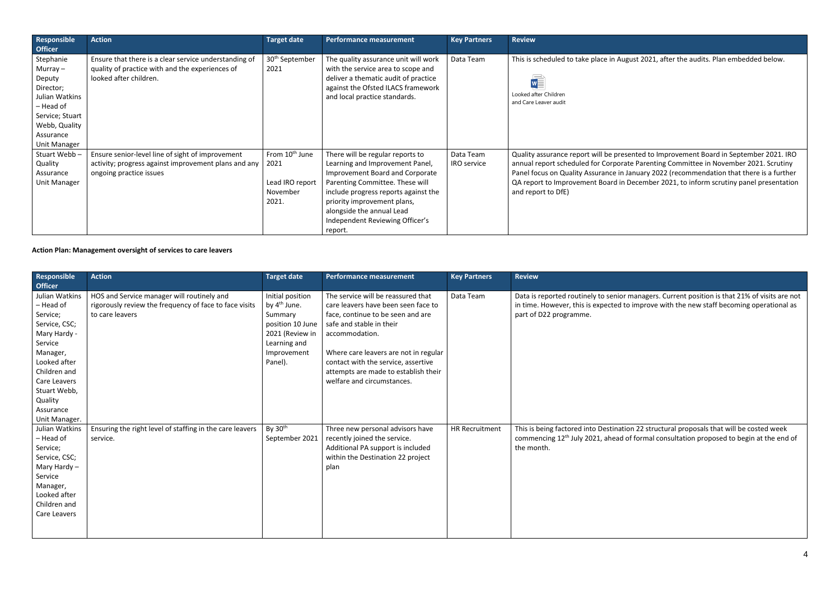4

| Responsible<br><b>Officer</b>                                                                                                                  | <b>Action</b>                                                                                                                       | <b>Target date</b>                                                         | <b>Performance measurement</b>                                                                                                                                                                                                                                                              | <b>Key Partners</b>             | <b>Review</b>                                                                                                                                                                                              |
|------------------------------------------------------------------------------------------------------------------------------------------------|-------------------------------------------------------------------------------------------------------------------------------------|----------------------------------------------------------------------------|---------------------------------------------------------------------------------------------------------------------------------------------------------------------------------------------------------------------------------------------------------------------------------------------|---------------------------------|------------------------------------------------------------------------------------------------------------------------------------------------------------------------------------------------------------|
| Stephanie<br>Murray $-$<br>Deputy<br>Director;<br>Julian Watkins<br>- Head of<br>Service; Stuart<br>Webb, Quality<br>Assurance<br>Unit Manager | Ensure that there is a clear service understanding of<br>quality of practice with and the experiences of<br>looked after children.  | 30 <sup>th</sup> September<br>2021                                         | The quality assurance unit will work<br>with the service area to scope and<br>deliver a thematic audit of practice<br>against the Ofsted ILACS framework<br>and local practice standards.                                                                                                   | Data Team                       | This is scheduled to take place in August 20.<br>Looked after Children<br>and Care Leaver audit                                                                                                            |
| Stuart Webb-<br>Quality<br>Assurance<br>Unit Manager                                                                                           | Ensure senior-level line of sight of improvement<br>activity; progress against improvement plans and any<br>ongoing practice issues | From 10 <sup>th</sup> June<br>2021<br>Lead IRO report<br>November<br>2021. | There will be regular reports to<br>Learning and Improvement Panel,<br>Improvement Board and Corporate<br>Parenting Committee. These will<br>include progress reports against the<br>priority improvement plans,<br>alongside the annual Lead<br>Independent Reviewing Officer's<br>report. | Data Team<br><b>IRO service</b> | Quality assurance report will be presented t<br>annual report scheduled for Corporate Pare<br>Panel focus on Quality Assurance in January<br>QA report to Improvement Board in Decem<br>and report to DfE) |

## **Action Plan: Management oversight of services to care leavers**

| Responsible<br><b>Officer</b>                                                                                                                                                                                   | <b>Action</b>                                                                                                           | <b>Target date</b>                                                                                                                       | <b>Performance measurement</b>                                                                                                                                                                                                                                                                                     | <b>Key Partners</b>   | <b>Review</b>                                                                                             |
|-----------------------------------------------------------------------------------------------------------------------------------------------------------------------------------------------------------------|-------------------------------------------------------------------------------------------------------------------------|------------------------------------------------------------------------------------------------------------------------------------------|--------------------------------------------------------------------------------------------------------------------------------------------------------------------------------------------------------------------------------------------------------------------------------------------------------------------|-----------------------|-----------------------------------------------------------------------------------------------------------|
| Julian Watkins<br>- Head of<br>Service;<br>Service, CSC;<br>Mary Hardy -<br>Service<br>Manager,<br>Looked after<br>Children and<br><b>Care Leavers</b><br>Stuart Webb,<br>Quality<br>Assurance<br>Unit Manager. | HOS and Service manager will routinely and<br>rigorously review the frequency of face to face visits<br>to care leavers | Initial position<br>by 4 <sup>th</sup> June.<br>Summary<br>position 10 June<br>2021 (Review in<br>Learning and<br>Improvement<br>Panel). | The service will be reassured that<br>care leavers have been seen face to<br>face, continue to be seen and are<br>safe and stable in their<br>accommodation.<br>Where care leavers are not in regular<br>contact with the service, assertive<br>attempts are made to establish their<br>welfare and circumstances. | Data Team             | Data is reported routinely to senior m<br>in time. However, this is expected to<br>part of D22 programme. |
| Julian Watkins<br>- Head of<br>Service;<br>Service, CSC;<br>Mary Hardy $-$<br>Service<br>Manager,<br>Looked after<br>Children and<br>Care Leavers                                                               | Ensuring the right level of staffing in the care leavers<br>service.                                                    | By $30th$<br>September 2021                                                                                                              | Three new personal advisors have<br>recently joined the service.<br>Additional PA support is included<br>within the Destination 22 project<br>plan                                                                                                                                                                 | <b>HR Recruitment</b> | This is being factored into Destination<br>commencing 12 <sup>th</sup> July 2021, ahead of<br>the month.  |

ust 2021, after the audits. Plan embedded below.

nted to Improvement Board in September 2021. IRO e Parenting Committee in November 2021. Scrutiny nuary 2022 (recommendation that there is a further ecember 2021, to inform scrutiny panel presentation

managers. Current position is that 21% of visits are not  $\frac{1}{2}$  improve with the new staff becoming operational as

on 22 structural proposals that will be costed week f formal consultation proposed to begin at the end of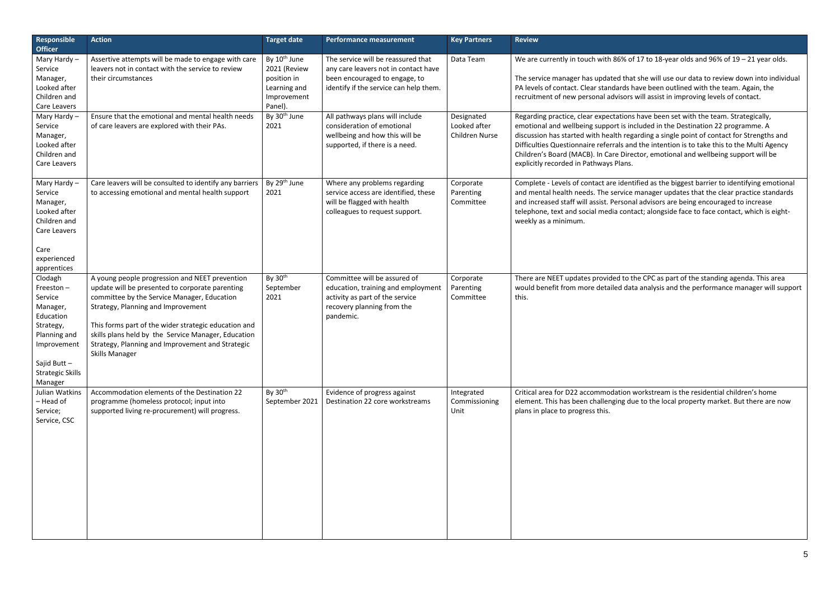| <b>Responsible</b><br><b>Officer</b>                                                                                                                          | <b>Action</b>                                                                                                                                                                                                                                                                                                                                                                      | <b>Target date</b>                                                                                | <b>Performance measurement</b>                                                                                                                        | <b>Key Partners</b>                                 | <b>Review</b>                                                                                                                                                                                                                                          |
|---------------------------------------------------------------------------------------------------------------------------------------------------------------|------------------------------------------------------------------------------------------------------------------------------------------------------------------------------------------------------------------------------------------------------------------------------------------------------------------------------------------------------------------------------------|---------------------------------------------------------------------------------------------------|-------------------------------------------------------------------------------------------------------------------------------------------------------|-----------------------------------------------------|--------------------------------------------------------------------------------------------------------------------------------------------------------------------------------------------------------------------------------------------------------|
| Mary Hardy-<br>Service<br>Manager,<br>Looked after<br>Children and<br>Care Leavers                                                                            | Assertive attempts will be made to engage with care<br>leavers not in contact with the service to review<br>their circumstances                                                                                                                                                                                                                                                    | By 10 <sup>th</sup> June<br>2021 (Review<br>position in<br>Learning and<br>Improvement<br>Panel). | The service will be reassured that<br>any care leavers not in contact have<br>been encouraged to engage, to<br>identify if the service can help them. | Data Team                                           | We are currently in touch with 86% o<br>The service manager has updated tha<br>PA levels of contact. Clear standards I<br>recruitment of new personal advisors                                                                                         |
| Mary Hardy-<br>Service<br>Manager,<br>Looked after<br>Children and<br>Care Leavers                                                                            | Ensure that the emotional and mental health needs<br>of care leavers are explored with their PAs.                                                                                                                                                                                                                                                                                  | By 30 <sup>th</sup> June<br>2021                                                                  | All pathways plans will include<br>consideration of emotional<br>wellbeing and how this will be<br>supported, if there is a need.                     | Designated<br>Looked after<br><b>Children Nurse</b> | Regarding practice, clear expectation<br>emotional and wellbeing support is in<br>discussion has started with health reg<br>Difficulties Questionnaire referrals an<br>Children's Board (MACB). In Care Dire<br>explicitly recorded in Pathways Plans. |
| Mary Hardy-<br>Service<br>Manager,<br>Looked after<br>Children and<br>Care Leavers<br>Care<br>experienced                                                     | Care leavers will be consulted to identify any barriers<br>to accessing emotional and mental health support                                                                                                                                                                                                                                                                        | By 29 <sup>th</sup> June<br>2021                                                                  | Where any problems regarding<br>service access are identified, these<br>will be flagged with health<br>colleagues to request support.                 | Corporate<br>Parenting<br>Committee                 | Complete - Levels of contact are iden<br>and mental health needs. The service<br>and increased staff will assist. Person<br>telephone, text and social media cont<br>weekly as a minimum.                                                              |
| apprentices<br>Clodagh<br>Freeston-<br>Service<br>Manager,<br>Education<br>Strategy,<br>Planning and<br>Improvement<br>Sajid Butt-<br><b>Strategic Skills</b> | A young people progression and NEET prevention<br>update will be presented to corporate parenting<br>committee by the Service Manager, Education<br>Strategy, Planning and Improvement<br>This forms part of the wider strategic education and<br>skills plans held by the Service Manager, Education<br>Strategy, Planning and Improvement and Strategic<br><b>Skills Manager</b> | By 30 <sup>th</sup><br>September<br>2021                                                          | Committee will be assured of<br>education, training and employment<br>activity as part of the service<br>recovery planning from the<br>pandemic.      | Corporate<br>Parenting<br>Committee                 | There are NEET updates provided to t<br>would benefit from more detailed da<br>this.                                                                                                                                                                   |
| Manager<br>Julian Watkins<br>- Head of<br>Service;<br>Service, CSC                                                                                            | Accommodation elements of the Destination 22<br>programme (homeless protocol; input into<br>supported living re-procurement) will progress.                                                                                                                                                                                                                                        | By 30 <sup>th</sup><br>September 2021                                                             | Evidence of progress against<br>Destination 22 core workstreams                                                                                       | Integrated<br>Commissioning<br>Unit                 | Critical area for D22 accommodation<br>element. This has been challenging du<br>plans in place to progress this.                                                                                                                                       |

## of 17 to 18-year olds and 96% of  $19 - 21$  year olds.

at she will use our data to review down into individual have been outlined with the team. Again, the s will assist in improving levels of contact.

ns have been set with the team. Strategically, ncluded in the Destination 22 programme. A garding a single point of contact for Strengths and d the intention is to take this to the Multi Agency ector, emotional and wellbeing support will be

ntified as the biggest barrier to identifying emotional manager updates that the clear practice standards al advisors are being encouraged to increase tact; alongside face to face contact, which is eight-

the CPC as part of the standing agenda. This area ata analysis and the performance manager will support

workstream is the residential children's home lue to the local property market. But there are now